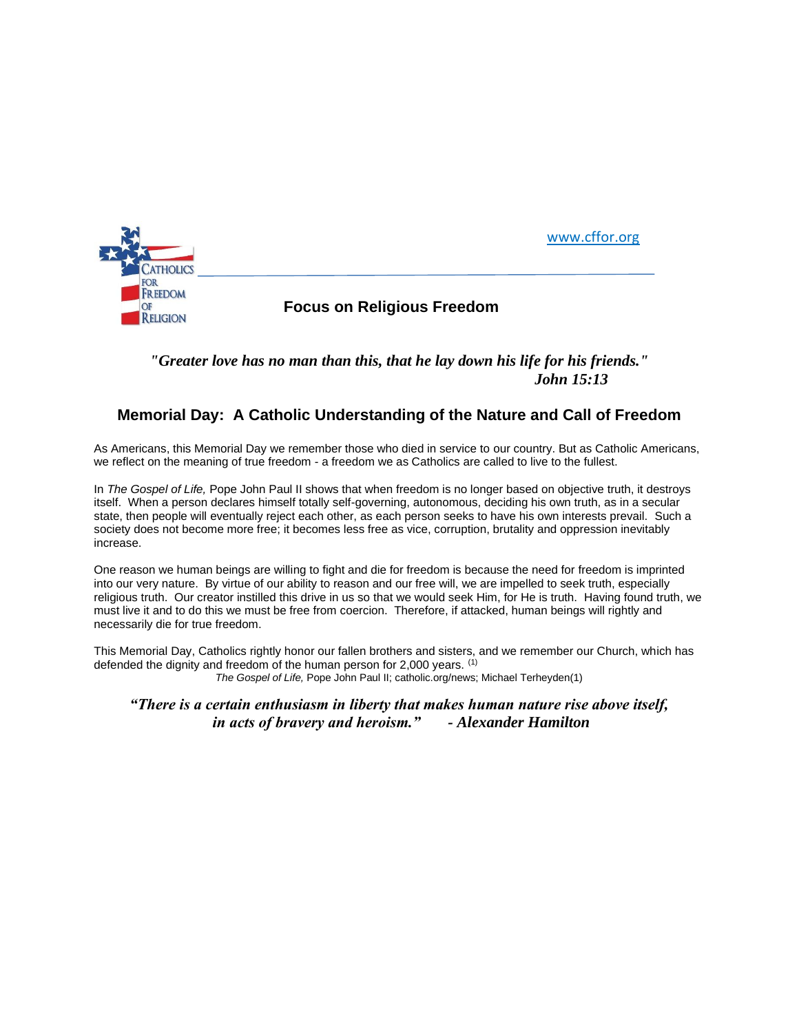

## *"Greater love has no man than this, that he lay down his life for his friends." John 15:13*

## **Memorial Day: A Catholic Understanding of the Nature and Call of Freedom**

As Americans, this Memorial Day we remember those who died in service to our country. But as Catholic Americans, we reflect on the meaning of true freedom - a freedom we as Catholics are called to live to the fullest.

In *The Gospel of Life,* Pope John Paul II shows that when freedom is no longer based on objective truth, it destroys itself. When a person declares himself totally self-governing, autonomous, deciding his own truth, as in a secular state, then people will eventually reject each other, as each person seeks to have his own interests prevail. Such a society does not become more free; it becomes less free as vice, corruption, brutality and oppression inevitably increase.

One reason we human beings are willing to fight and die for freedom is because the need for freedom is imprinted into our very nature. By virtue of our ability to reason and our free will, we are impelled to seek truth, especially religious truth. Our creator instilled this drive in us so that we would seek Him, for He is truth. Having found truth, we must live it and to do this we must be free from coercion. Therefore, if attacked, human beings will rightly and necessarily die for true freedom.

This Memorial Day, Catholics rightly honor our fallen brothers and sisters, and we remember our Church, which has defended the dignity and freedom of the human person for 2,000 years. (1) *The Gospel of Life,* Pope John Paul II; catholic.org/news; Michael Terheyden(1)

*"There is a certain enthusiasm in liberty that makes human nature rise above itself, in acts of bravery and heroism." - Alexander Hamilton*